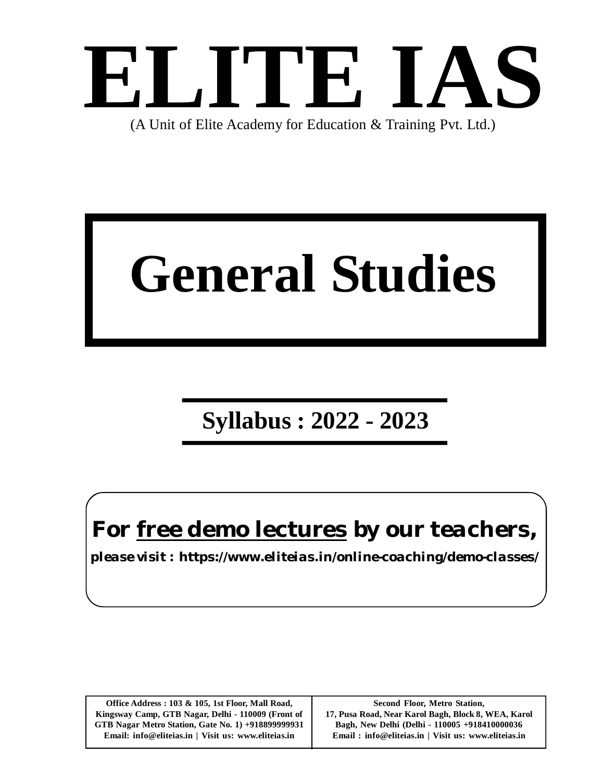

(A Unit of Elite Academy for Education & Training Pvt. Ltd.)

# **General Studies**

# **Syllabus : 2022 - 2023**

*For free demo lectures by our teachers,*

*please visit : https://www.eliteias.in/online-coaching/demo-classes/*

**Office Address : 103 & 105, 1st Floor, Mall Road, Kingsway Camp, GTB Nagar, Delhi - 110009 (Front of GTB Nagar Metro Station, Gate No. 1) +918899999931 Email: info@eliteias.in | Visit us: www.eliteias.in**

**Second Floor, Metro Station, 17, Pusa Road, Near Karol Bagh, Block 8, WEA, Karol Bagh, New Delhi (Delhi - 110005 +918410000036 Email : info@eliteias.in | Visit us: www.eliteias.in**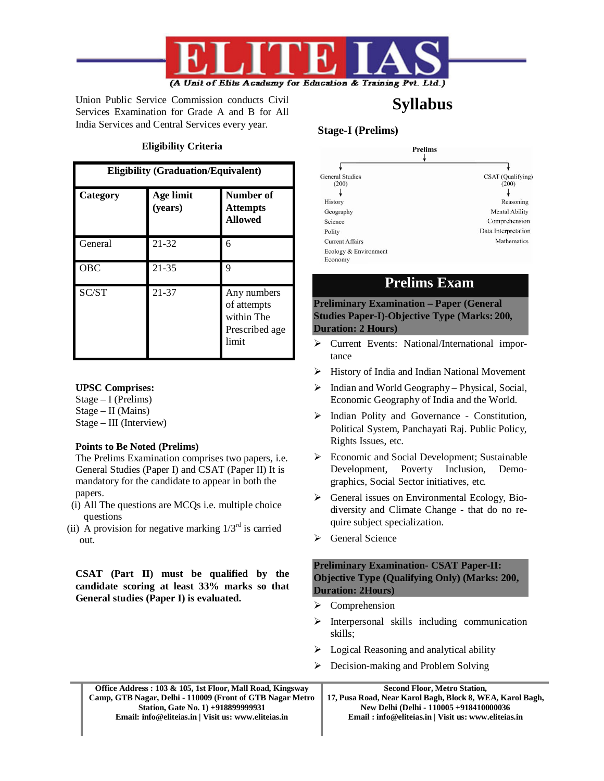

Union Public Service Commission conducts Civil Services Examination for Grade A and B for All India Services and Central Services every year.

#### **Eligibility Criteria**

| <b>Eligibility (Graduation/Equivalent)</b> |                      |                                                                     |  |
|--------------------------------------------|----------------------|---------------------------------------------------------------------|--|
| Category                                   | Age limit<br>(years) | Number of<br><b>Attempts</b><br><b>Allowed</b>                      |  |
| General                                    | 21-32                | 6                                                                   |  |
| <b>OBC</b>                                 | 21-35                | 9                                                                   |  |
| SC/ST                                      | 21-37                | Any numbers<br>of attempts<br>within The<br>Prescribed age<br>limit |  |

#### **UPSC Comprises:**

Stage – I (Prelims) Stage – II (Mains) Stage – III (Interview)

#### **Points to Be Noted (Prelims)**

The Prelims Examination comprises two papers, i.e. General Studies (Paper I) and CSAT (Paper II) It is mandatory for the candidate to appear in both the papers.

- (i) All The questions are MCQs i.e. multiple choice questions
- (ii) A provision for negative marking  $1/3<sup>rd</sup>$  is carried out.

**CSAT (Part II) must be qualified by the candidate scoring at least 33% marks so that General studies (Paper I) is evaluated.**

#### **Stage-I (Prelims)**

| <b>Prelims</b>         |                       |
|------------------------|-----------------------|
|                        |                       |
| <b>General Studies</b> | CSAT (Qualifying)     |
| (200)                  | (200)                 |
|                        |                       |
| History                | Reasoning             |
| Geography              | <b>Mental Ability</b> |
| Science                | Comprehension         |
| Polity                 | Data Interpretation   |
| <b>Current Affairs</b> | Mathematics           |
| Ecology & Environment  |                       |
| Economy                |                       |

**Syllabus**

### **Prelims Exam**

**Preliminary Examination – Paper (General Studies Paper-I)-Objective Type (Marks: 200, Duration: 2 Hours)**

- Current Events: National/International importance
- $\triangleright$  History of India and Indian National Movement
- $\triangleright$  Indian and World Geography Physical, Social, Economic Geography of India and the World.
- Indian Polity and Governance Constitution, Political System, Panchayati Raj. Public Policy, Rights Issues, etc.
- $\triangleright$  Economic and Social Development; Sustainable Development, Poverty Inclusion, Demographics, Social Sector initiatives, etc.
- $\triangleright$  General issues on Environmental Ecology, Biodiversity and Climate Change - that do no require subject specialization.
- ▶ General Science

#### **Preliminary Examination- CSAT Paper-II: Objective Type (Qualifying Only) (Marks: 200, Duration: 2Hours)**

- $\triangleright$  Comprehension
- $\triangleright$  Interpersonal skills including communication skills;
- $\triangleright$  Logical Reasoning and analytical ability
- $\triangleright$  Decision-making and Problem Solving

| Office Address : 103 & 105, 1st Floor, Mall Road, Kingsway | <b>Second Floor, Metro Station,</b>                       |
|------------------------------------------------------------|-----------------------------------------------------------|
| Camp, GTB Nagar, Delhi - 110009 (Front of GTB Nagar Metro  | 17, Pusa Road, Near Karol Bagh, Block 8, WEA, Karol Bagh, |
| Station, Gate No. 1) +918899999931                         | New Delhi (Delhi - 110005 + 918410000036                  |
| Email: info@eliteias.in   Visit us: www.eliteias.in        | Email: info@eliteias.in   Visit us: www.eliteias.in       |
|                                                            |                                                           |
|                                                            |                                                           |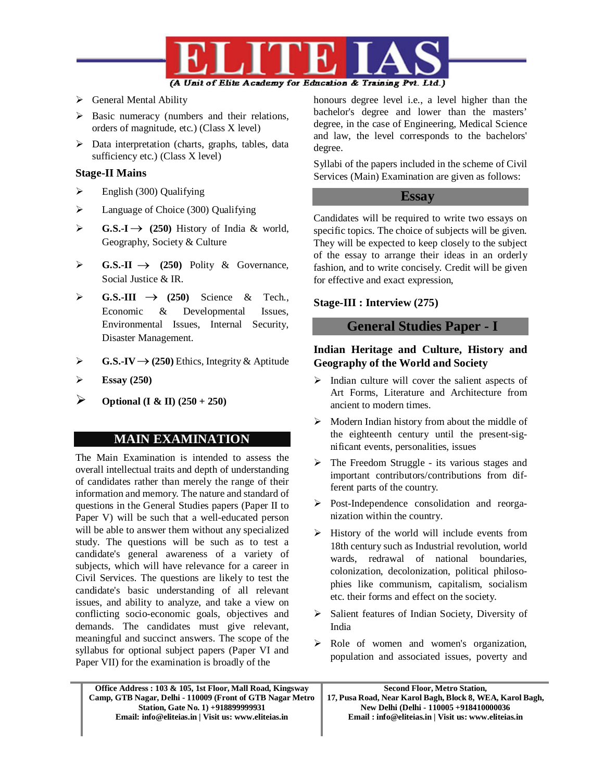

- $\triangleright$  General Mental Ability
- $\triangleright$  Basic numeracy (numbers and their relations, orders of magnitude, etc.) (Class X level)
- $\triangleright$  Data interpretation (charts, graphs, tables, data sufficiency etc.) (Class X level)

#### **Stage-II Mains**

- $\triangleright$  English (300) Qualifying
- **Example 2** Language of Choice (300) Qualifying
- $\triangleright$  **G.S.-I**  $\rightarrow$  (250) History of India & world, Geography, Society & Culture
- $\triangleright$  **G.S.-II**  $\rightarrow$  (250) Polity & Governance, Social Justice & IR.
- $\triangleright$  **G.S.-III**  $\rightarrow$  (250) Science & Tech., Economic & Developmental Issues, Environmental Issues, Internal Security, Disaster Management.
- $\triangleright$  **G.S.-IV**  $\rightarrow$  (250) Ethics, Integrity & Aptitude
- $\triangleright$  **Essay** (250)

 $\triangleright$  Optional (I & II) (250 + 250)

#### **MAIN EXAMINATION**

The Main Examination is intended to assess the overall intellectual traits and depth of understanding of candidates rather than merely the range of their information and memory. The nature and standard of questions in the General Studies papers (Paper II to Paper V) will be such that a well-educated person will be able to answer them without any specialized study. The questions will be such as to test a candidate's general awareness of a variety of subjects, which will have relevance for a career in Civil Services. The questions are likely to test the candidate's basic understanding of all relevant issues, and ability to analyze, and take a view on conflicting socio-economic goals, objectives and demands. The candidates must give relevant, meaningful and succinct answers. The scope of the syllabus for optional subject papers (Paper VI and Paper VII) for the examination is broadly of the

honours degree level i.e., a level higher than the bachelor's degree and lower than the masters' degree, in the case of Engineering, Medical Science and law, the level corresponds to the bachelors' degree.

Syllabi of the papers included in the scheme of Civil Services (Main) Examination are given as follows:

#### **Essay**

Candidates will be required to write two essays on specific topics. The choice of subjects will be given. They will be expected to keep closely to the subject of the essay to arrange their ideas in an orderly fashion, and to write concisely. Credit will be given for effective and exact expression,

#### **Stage-III : Interview (275)**

#### **General Studies Paper - I**

#### **Indian Heritage and Culture, History and Geography of the World and Society**

- $\triangleright$  Indian culture will cover the salient aspects of Art Forms, Literature and Architecture from ancient to modern times.
- $\triangleright$  Modern Indian history from about the middle of the eighteenth century until the present-significant events, personalities, issues
- $\triangleright$  The Freedom Struggle its various stages and important contributors/contributions from different parts of the country.
- Post-Independence consolidation and reorganization within the country.
- $\triangleright$  History of the world will include events from 18th century such as Industrial revolution, world wards, redrawal of national boundaries, colonization, decolonization, political philosophies like communism, capitalism, socialism etc. their forms and effect on the society.
- $\triangleright$  Salient features of Indian Society, Diversity of India
- Role of women and women's organization, population and associated issues, poverty and

| Office Address: 103 & 105, 1st Floor, Mall Road, Kingsway | <b>Second Floor, Metro Station.</b>                       |
|-----------------------------------------------------------|-----------------------------------------------------------|
| Camp, GTB Nagar, Delhi - 110009 (Front of GTB Nagar Metro | 17, Pusa Road, Near Karol Bagh, Block 8, WEA, Karol Bagh, |
| Station, Gate No. 1) +918899999931                        | New Delhi (Delhi - 110005 +918410000036                   |
| Email: info@eliteias.in   Visit us: www.eliteias.in       | Email: info@eliteias.in   Visit us: www.eliteias.in       |
|                                                           |                                                           |

I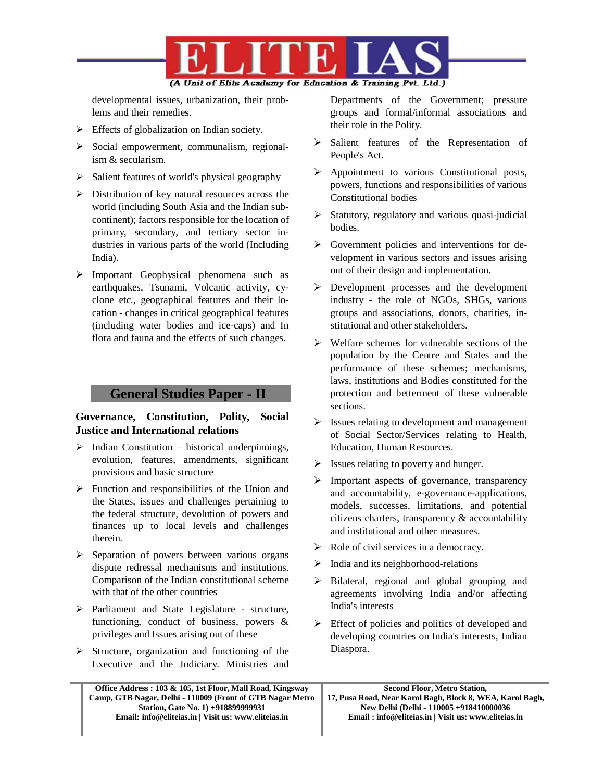

developmental issues, urbanization, their problems and their remedies.

- $\triangleright$  Effects of globalization on Indian society.
- $\triangleright$  Social empowerment, communalism, regionalism & secularism.
- $\triangleright$  Salient features of world's physical geography
- Distribution of key natural resources across the world (including South Asia and the Indian subcontinent); factors responsible for the location of primary, secondary, and tertiary sector industries in various parts of the world (Including India).
- Important Geophysical phenomena such as earthquakes, Tsunami, Volcanic activity, cyclone etc., geographical features and their location - changes in critical geographical features (including water bodies and ice-caps) and In flora and fauna and the effects of such changes.

#### **General Studies Paper - II**

#### **Governance, Constitution, Polity, Social Justice and International relations**

- $\triangleright$  Indian Constitution historical underpinnings, evolution, features, amendments, significant provisions and basic structure
- $\triangleright$  Function and responsibilities of the Union and the States, issues and challenges pertaining to the federal structure, devolution of powers and finances up to local levels and challenges therein.
- $\triangleright$  Separation of powers between various organs dispute redressal mechanisms and institutions. Comparison of the Indian constitutional scheme with that of the other countries
- Parliament and State Legislature structure, functioning, conduct of business, powers & privileges and Issues arising out of these
- $\triangleright$  Structure, organization and functioning of the Executive and the Judiciary. Ministries and

Departments of the Government; pressure groups and formal/informal associations and their role in the Polity.

- Salient features of the Representation of People's Act.
- Appointment to various Constitutional posts, powers, functions and responsibilities of various Constitutional bodies
- $\triangleright$  Statutory, regulatory and various quasi-judicial bodies.
- $\triangleright$  Government policies and interventions for development in various sectors and issues arising out of their design and implementation.
- Development processes and the development industry - the role of NGOs, SHGs, various groups and associations, donors, charities, institutional and other stakeholders.
- $\triangleright$  Welfare schemes for vulnerable sections of the population by the Centre and States and the performance of these schemes; mechanisms, laws, institutions and Bodies constituted for the protection and betterment of these vulnerable sections.
- Issues relating to development and management of Social Sector/Services relating to Health, Education, Human Resources.
- $\triangleright$  Issues relating to poverty and hunger.
- > Important aspects of governance, transparency and accountability, e-governance-applications, models, successes, limitations, and potential citizens charters, transparency & accountability and institutional and other measures.
- $\triangleright$  Role of civil services in a democracy.
- $\triangleright$  India and its neighborhood-relations
- $\triangleright$  Bilateral, regional and global grouping and agreements involving India and/or affecting India's interests
- $\triangleright$  Effect of policies and politics of developed and developing countries on India's interests, Indian Diaspora.

**Office Address : 103 & 105, 1st Floor, Mall Road, Kingsway Camp, GTB Nagar, Delhi - 110009 (Front of GTB Nagar Metro Station, Gate No. 1) +918899999931 Email: info@eliteias.in | Visit us: www.eliteias.in**

**Second Floor, Metro Station, 17, Pusa Road, Near Karol Bagh, Block 8, WEA, Karol Bagh, New Delhi (Delhi - 110005 +918410000036 Email : info@eliteias.in | Visit us: www.eliteias.in**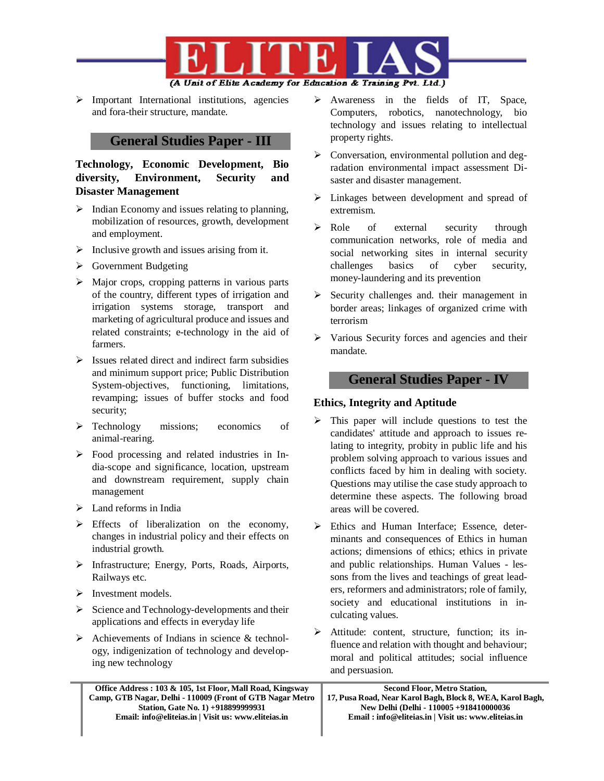

 $\triangleright$  Important International institutions, agencies and fora-their structure, mandate.

#### **General Studies Paper - III**

**Technology, Economic Development, Bio diversity, Environment, Security and Disaster Management**

- $\triangleright$  Indian Economy and issues relating to planning, mobilization of resources, growth, development and employment.
- $\triangleright$  Inclusive growth and issues arising from it.
- Government Budgeting
- $\triangleright$  Major crops, cropping patterns in various parts of the country, different types of irrigation and irrigation systems storage, transport and marketing of agricultural produce and issues and related constraints; e-technology in the aid of farmers.
- $\triangleright$  Issues related direct and indirect farm subsidies and minimum support price; Public Distribution System-objectives, functioning, limitations, revamping; issues of buffer stocks and food security;
- $\triangleright$  Technology missions; economics of animal-rearing.
- $\triangleright$  Food processing and related industries in India-scope and significance, location, upstream and downstream requirement, supply chain management
- Land reforms in India
- $\triangleright$  Effects of liberalization on the economy, changes in industrial policy and their effects on industrial growth.
- Infrastructure; Energy, Ports, Roads, Airports, Railways etc.
- $\triangleright$  Investment models.
- $\triangleright$  Science and Technology-developments and their applications and effects in everyday life
- $\triangleright$  Achievements of Indians in science & technology, indigenization of technology and developing new technology
	- **Office Address : 103 & 105, 1st Floor, Mall Road, Kingsway Camp, GTB Nagar, Delhi - 110009 (Front of GTB Nagar Metro Station, Gate No. 1) +918899999931 Email: info@eliteias.in | Visit us: www.eliteias.in**
- $\triangleright$  Awareness in the fields of IT, Space, Computers, robotics, nanotechnology, bio technology and issues relating to intellectual property rights.
- $\triangleright$  Conversation, environmental pollution and degradation environmental impact assessment Disaster and disaster management.
- $\triangleright$  Linkages between development and spread of extremism.
- $\triangleright$  Role of external security through communication networks, role of media and social networking sites in internal security challenges basics of cyber security, money-laundering and its prevention
- $\triangleright$  Security challenges and. their management in border areas; linkages of organized crime with terrorism
- $\triangleright$  Various Security forces and agencies and their mandate.

#### **General Studies Paper - IV**

#### **Ethics, Integrity and Aptitude**

- $\triangleright$  This paper will include questions to test the candidates' attitude and approach to issues relating to integrity, probity in public life and his problem solving approach to various issues and conflicts faced by him in dealing with society. Questions may utilise the case study approach to determine these aspects. The following broad areas will be covered.
- Ethics and Human Interface: Essence, determinants and consequences of Ethics in human actions; dimensions of ethics; ethics in private and public relationships. Human Values - lessons from the lives and teachings of great leaders, reformers and administrators; role of family, society and educational institutions in inculcating values.
- $\triangleright$  Attitude: content, structure, function; its influence and relation with thought and behaviour; moral and political attitudes; social influence and persuasion.

**Second Floor, Metro Station, 17, Pusa Road, Near Karol Bagh, Block 8, WEA, Karol Bagh, New Delhi (Delhi - 110005 +918410000036 Email : info@eliteias.in | Visit us: www.eliteias.in**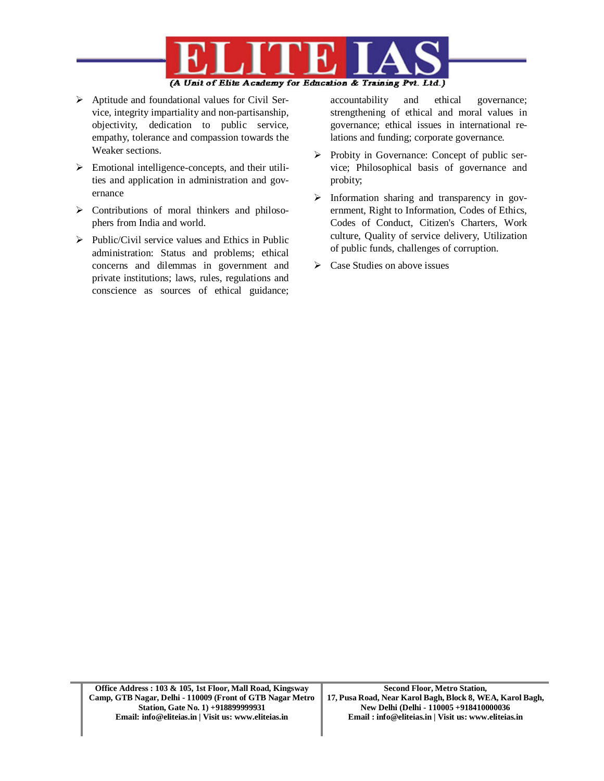

- $\triangleright$  Aptitude and foundational values for Civil Service, integrity impartiality and non-partisanship, objectivity, dedication to public service, empathy, tolerance and compassion towards the Weaker sections.
- $\triangleright$  Emotional intelligence-concepts, and their utilities and application in administration and governance
- $\triangleright$  Contributions of moral thinkers and philosophers from India and world.
- $\triangleright$  Public/Civil service values and Ethics in Public administration: Status and problems; ethical concerns and dilemmas in government and private institutions; laws, rules, regulations and conscience as sources of ethical guidance;

accountability and ethical governance; strengthening of ethical and moral values in governance; ethical issues in international relations and funding; corporate governance.

- $\triangleright$  Probity in Governance: Concept of public service; Philosophical basis of governance and probity;
- $\triangleright$  Information sharing and transparency in government, Right to Information, Codes of Ethics, Codes of Conduct, Citizen's Charters, Work culture, Quality of service delivery, Utilization of public funds, challenges of corruption.
- $\triangleright$  Case Studies on above issues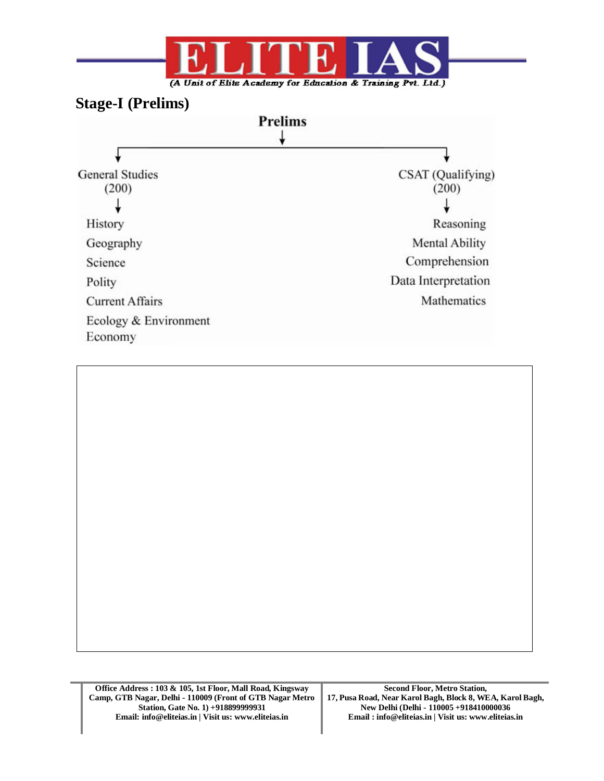

## **Stage-I (Prelims)**



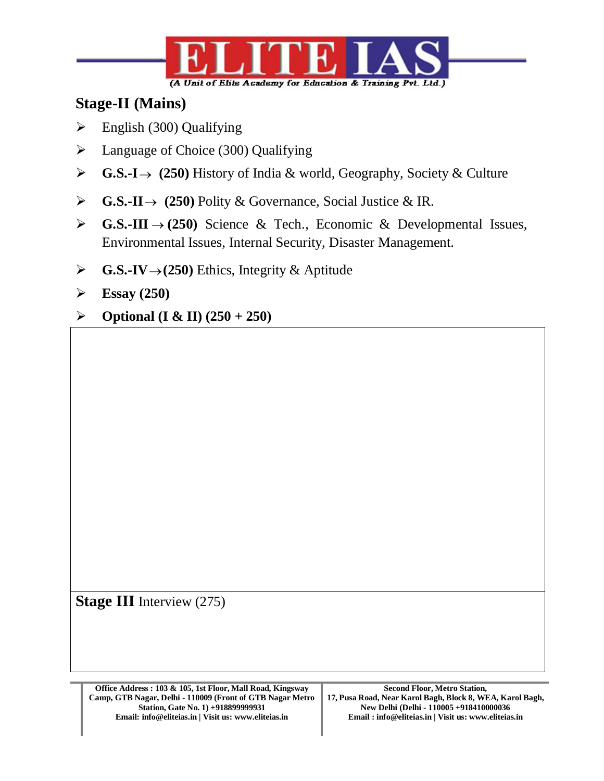

# **Stage-II (Mains)**

- $\triangleright$  English (300) Qualifying
- $\blacktriangleright$  Language of Choice (300) Qualifying
- **G.S.-I** $\rightarrow$  (250) History of India & world, Geography, Society & Culture
- **G.S.-II**  $\rightarrow$  (250) Polity & Governance, Social Justice & IR.
- **G.S.-III**  $\rightarrow$  (250) Science & Tech., Economic & Developmental Issues, Environmental Issues, Internal Security, Disaster Management.
- $\triangleright$  **G.S.-IV** $\rightarrow$  (250) Ethics, Integrity & Aptitude
- **Essay (250)**
- $\triangleright$  **Optional (I & II) (250 + 250)**

**Stage III** Interview (275)

**Office Address : 103 & 105, 1st Floor, Mall Road, Kingsway Camp, GTB Nagar, Delhi - 110009 (Front of GTB Nagar Metro Station, Gate No. 1) +918899999931 Email: info@eliteias.in | Visit us: www.eliteias.in**